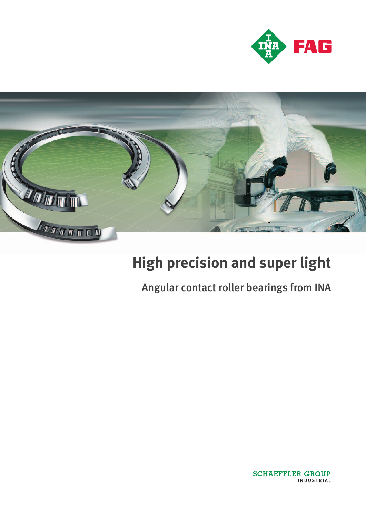



# **High precision and super light**

## Angular contact roller bearings from INA

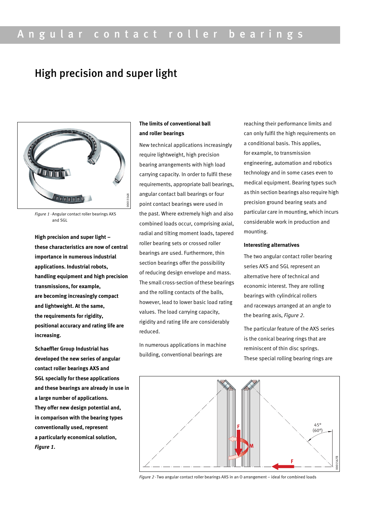### High precision and super light



*Figure 1 ·*Angular contact roller bearings AXS and SGL

**High precision and super light – these characteristics are now of central importance in numerous industrial applications. Industrial robots, handling equipment and high precision transmissions, for example, are becoming increasingly compact and lightweight. At the same, the requirements for rigidity, positional accuracy and rating life are increasing.**

**Schaeffler Group Industrial has developed the new series of angular contact roller bearings AXS and SGL specially for these applications and these bearings are already in use in a large number of applications. They offer new design potential and, in comparison with the bearing types conventionally used, represent a particularly economical solution,**  *Figure 1***.**

#### **The limits of conventional ball and roller bearings**

New technical applications increasingly require lightweight, high precision bearing arrangements with high load carrying capacity. In order to fulfil these requirements, appropriate ball bearings, angular contact ball bearings or four point contact bearings were used in the past. Where extremely high and also combined loads occur, comprising axial, radial and tilting moment loads, tapered roller bearing sets or crossed roller bearings are used. Furthermore, thin section bearings offer the possibility of reducing design envelope and mass. The small cross-section of these bearings and the rolling contacts of the balls, however, lead to lower basic load rating values. The load carrying capacity, rigidity and rating life are considerably reduced.

In numerous applications in machine building, conventional bearings are

reaching their performance limits and can only fulfil the high requirements on a conditional basis. This applies, for example, to transmission engineering, automation and robotics technology and in some cases even to medical equipment. Bearing types such as thin section bearings also require high precision ground bearing seats and particular care in mounting, which incurs considerable work in production and mounting.

#### **Interesting alternatives**

The two angular contact roller bearing series AXS and SGL represent an alternative here of technical and economic interest. They are rolling bearings with cylindrical rollers and raceways arranged at an angle to the bearing axis, *Figure 2*.

The particular feature of the AXS series is the conical bearing rings that are reminiscent of thin disc springs. These special rolling bearing rings are



*Figure 2 ·*Two angular contact roller bearings AXS in an O arrangement – ideal for combined loads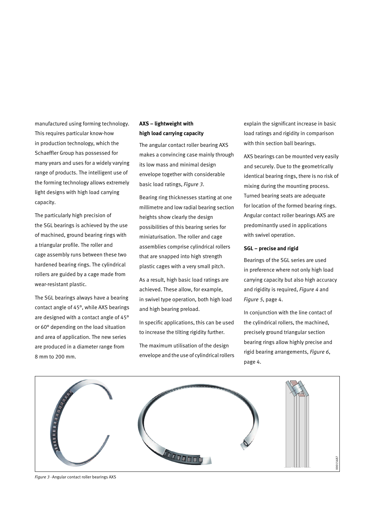manufactured using forming technology. This requires particular know-how in production technology, which the Schaeffler Group has possessed for many years and uses for a widely varying range of products. The intelligent use of the forming technology allows extremely light designs with high load carrying capacity.

The particularly high precision of the SGL bearings is achieved by the use of machined, ground bearing rings with a triangular profile. The roller and cage assembly runs between these two hardened bearing rings. The cylindrical rollers are guided by a cage made from wear-resistant plastic.

The SGL bearings always have a bearing contact angle of 45°, while AXS bearings are designed with a contact angle of 45° or 60° depending on the load situation and area of application. The new series are produced in a diameter range from 8 mm to 200 mm.

#### **AXS – lightweight with high load carrying capacity**

The angular contact roller bearing AXS makes a convincing case mainly through its low mass and minimal design envelope together with considerable basic load ratings, *Figure 3*.

Bearing ring thicknesses starting at one millimetre and low radial bearing section heights show clearly the design possibilities of this bearing series for miniaturisation. The roller and cage assemblies comprise cylindrical rollers that are snapped into high strength plastic cages with a very small pitch.

As a result, high basic load ratings are achieved. These allow, for example, in swivel type operation, both high load and high bearing preload.

In specific applications, this can be used to increase the tilting rigidity further.

The maximum utilisation of the design envelope and the use of cylindrical rollers explain the significant increase in basic load ratings and rigidity in comparison with thin section ball bearings.

AXS bearings can be mounted very easily and securely. Due to the geometrically identical bearing rings, there is no risk of mixing during the mounting process. Turned bearing seats are adequate for location of the formed bearing rings. Angular contact roller bearings AXS are predominantly used in applications with swivel operation.

#### **SGL – precise and rigid**

Bearings of the SGL series are used in preference where not only high load carrying capacity but also high accuracy and rigidity is required, *Figure 4* and *Figure 5*, page 4.

In conjunction with the line contact of the cylindrical rollers, the machined, precisely ground triangular section bearing rings allow highly precise and rigid bearing arrangements, *Figure 6*, page 4.



*Figure 3 ·*Angular contact roller bearings AXS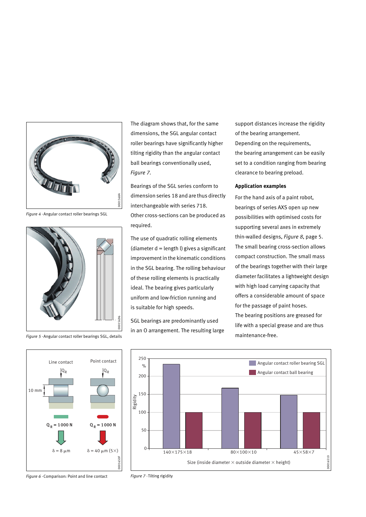

*Figure 4 ·*Angular contact roller bearings SGL



*Figure 5 ·*Angular contact roller bearings SGL, details

The diagram shows that, for the same dimensions, the SGL angular contact roller bearings have significantly higher tilting rigidity than the angular contact ball bearings conventionally used, *Figure 7*.

Bearings of the SGL series conform to dimension series 18 and are thus directly interchangeable with series 718. Other cross-sections can be produced as required.

The use of quadratic rolling elements (diameter  $d =$  length  $l$ ) gives a significant improvement in the kinematic conditions in the SGL bearing. The rolling behaviour of these rolling elements is practically ideal. The bearing gives particularly uniform and low-friction running and is suitable for high speeds.

SGL bearings are predominantly used in an O arrangement. The resulting large support distances increase the rigidity of the bearing arrangement. Depending on the requirements, the bearing arrangement can be easily set to a condition ranging from bearing clearance to bearing preload.

#### **Application examples**

For the hand axis of a paint robot, bearings of series AXS open up new possibilities with optimised costs for supporting several axes in extremely thin-walled designs, *Figure 8*, page 5. The small bearing cross-section allows compact construction. The small mass of the bearings together with their large diameter facilitates a lightweight design with high load carrying capacity that offers a considerable amount of space for the passage of paint hoses. The bearing positions are greased for life with a special grease and are thus maintenance-free.

00016510

0016510



*Figure 6 ·*Comparison: Point and line contact

 $\delta = 8 \mu m$   $\delta$ 

10 mm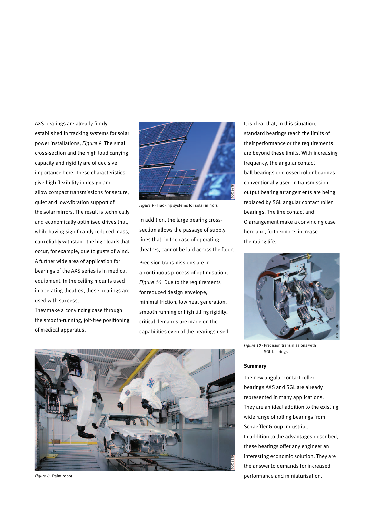AXS bearings are already firmly established in tracking systems for solar power installations, *Figure 9*. The small cross-section and the high load carrying capacity and rigidity are of decisive importance here. These characteristics give high flexibility in design and allow compact transmissions for secure, quiet and low-vibration support of the solar mirrors. The result is technically and economically optimised drives that, while having significantly reduced mass, can reliably withstand the high loads that occur, for example, due to gusts of wind. A further wide area of application for bearings of the AXS series is in medical equipment. In the ceiling mounts used in operating theatres, these bearings are used with success.

They make a convincing case through the smooth-running, jolt-free positioning of medical apparatus.



*Figure 9 ·*Tracking systems for solar mirrors

In addition, the large bearing crosssection allows the passage of supply lines that, in the case of operating theatres, cannot be laid across the floor.

Precision transmissions are in a continuous process of optimisation, *Figure 10*. Due to the requirements for reduced design envelope, minimal friction, low heat generation, smooth running or high tilting rigidity, critical demands are made on the capabilities even of the bearings used.



*Figure 8 ·*Paint robot

It is clear that, in this situation, standard bearings reach the limits of their performance or the requirements are beyond these limits. With increasing frequency, the angular contact ball bearings or crossed roller bearings conventionally used in transmission output bearing arrangements are being replaced by SGL angular contact roller bearings. The line contact and O arrangement make a convincing case here and, furthermore, increase the rating life.



*Figure 10 ·* Precision transmissions with SGL bearings

#### **Summary**

The new angular contact roller bearings AXS and SGL are already represented in many applications. They are an ideal addition to the existing wide range of rolling bearings from Schaeffler Group Industrial. In addition to the advantages described, these bearings offer any engineer an interesting economic solution. They are the answer to demands for increased performance and miniaturisation.